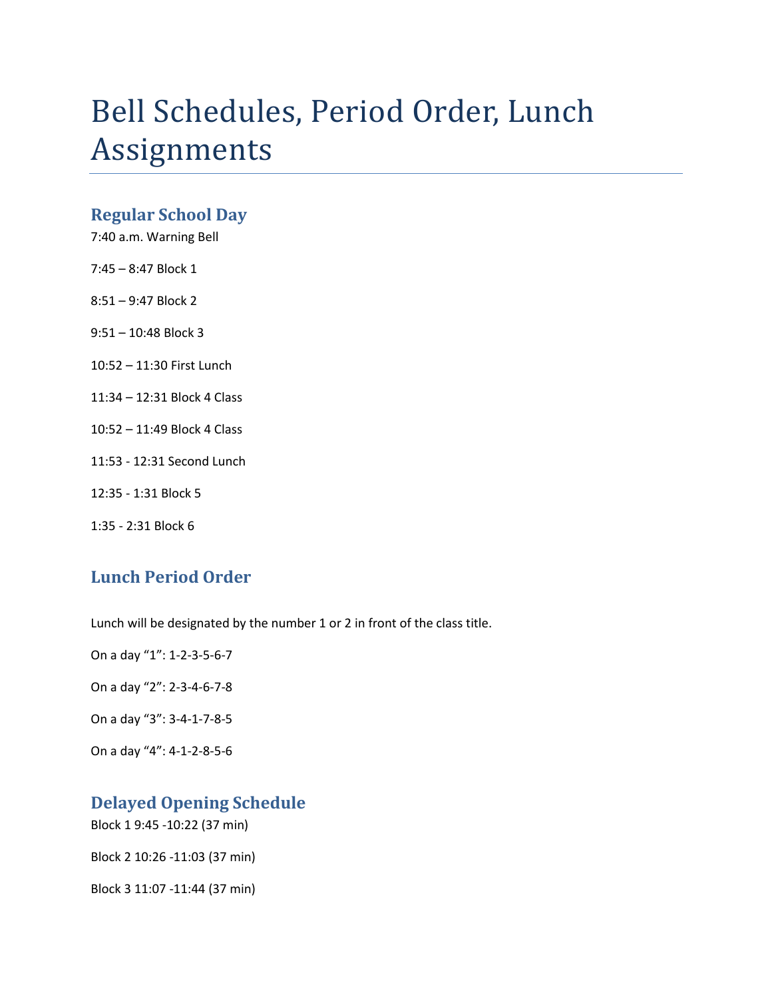# Bell Schedules, Period Order, Lunch Assignments

#### **Regular School Day**

7:40 a.m. Warning Bell

- 7:45 8:47 Block 1
- 8:51 9:47 Block 2
- 9:51 10:48 Block 3
- 10:52 11:30 First Lunch
- 11:34 12:31 Block 4 Class
- 10:52 11:49 Block 4 Class
- 11:53 12:31 Second Lunch
- 12:35 1:31 Block 5
- 1:35 2:31 Block 6

### **Lunch Period Order**

Lunch will be designated by the number 1 or 2 in front of the class title.

On a day "1": 1-2-3-5-6-7

On a day "2": 2-3-4-6-7-8

On a day "3": 3-4-1-7-8-5

On a day "4": 4-1-2-8-5-6

## **Delayed Opening Schedule**

Block 1 9:45 -10:22 (37 min)

Block 2 10:26 -11:03 (37 min)

Block 3 11:07 -11:44 (37 min)